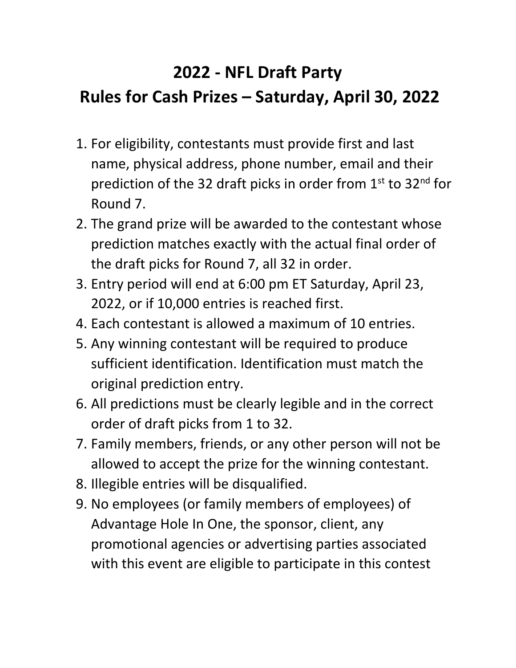## **2022 - NFL Draft Party Rules for Cash Prizes – Saturday, April 30, 2022**

- 1. For eligibility, contestants must provide first and last name, physical address, phone number, email and their prediction of the 32 draft picks in order from  $1<sup>st</sup>$  to 32<sup>nd</sup> for Round 7.
- 2. The grand prize will be awarded to the contestant whose prediction matches exactly with the actual final order of the draft picks for Round 7, all 32 in order.
- 3. Entry period will end at 6:00 pm ET Saturday, April 23, 2022, or if 10,000 entries is reached first.
- 4. Each contestant is allowed a maximum of 10 entries.
- 5. Any winning contestant will be required to produce sufficient identification. Identification must match the original prediction entry.
- 6. All predictions must be clearly legible and in the correct order of draft picks from 1 to 32.
- 7. Family members, friends, or any other person will not be allowed to accept the prize for the winning contestant.
- 8. Illegible entries will be disqualified.
- 9. No employees (or family members of employees) of Advantage Hole In One, the sponsor, client, any promotional agencies or advertising parties associated with this event are eligible to participate in this contest